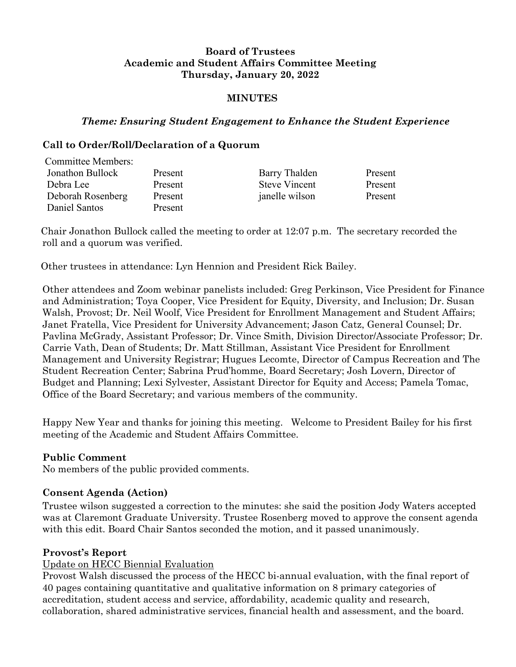# **Board of Trustees Academic and Student Affairs Committee Meeting Thursday, January 20, 2022**

### **MINUTES**

### *Theme: Ensuring Student Engagement to Enhance the Student Experience*

### **Call to Order/Roll/Declaration of a Quorum**

| <b>Committee Members:</b> |         |                      |         |
|---------------------------|---------|----------------------|---------|
| Jonathon Bullock          | Present | Barry Thalden        | Present |
| Debra Lee                 | Present | <b>Steve Vincent</b> | Present |
| Deborah Rosenberg         | Present | janelle wilson       | Present |
| Daniel Santos             | Present |                      |         |

 Chair Jonathon Bullock called the meeting to order at 12:07 p.m. The secretary recorded the roll and a quorum was verified.

Other trustees in attendance: Lyn Hennion and President Rick Bailey.

Other attendees and Zoom webinar panelists included: Greg Perkinson, Vice President for Finance and Administration; Toya Cooper, Vice President for Equity, Diversity, and Inclusion; Dr. Susan Walsh, Provost; Dr. Neil Woolf, Vice President for Enrollment Management and Student Affairs; Janet Fratella, Vice President for University Advancement; Jason Catz, General Counsel; Dr. Pavlina McGrady, Assistant Professor; Dr. Vince Smith, Division Director/Associate Professor; Dr. Carrie Vath, Dean of Students; Dr. Matt Stillman, Assistant Vice President for Enrollment Management and University Registrar; Hugues Lecomte, Director of Campus Recreation and The Student Recreation Center; Sabrina Prud'homme, Board Secretary; Josh Lovern, Director of Budget and Planning; Lexi Sylvester, Assistant Director for Equity and Access; Pamela Tomac, Office of the Board Secretary; and various members of the community.

Happy New Year and thanks for joining this meeting. Welcome to President Bailey for his first meeting of the Academic and Student Affairs Committee.

#### **Public Comment**

No members of the public provided comments.

#### **Consent Agenda (Action)**

Trustee wilson suggested a correction to the minutes: she said the position Jody Waters accepted was at Claremont Graduate University. Trustee Rosenberg moved to approve the consent agenda with this edit. Board Chair Santos seconded the motion, and it passed unanimously.

#### **Provost's Report**

#### Update on HECC Biennial Evaluation

Provost Walsh discussed the process of the HECC bi-annual evaluation, with the final report of 40 pages containing quantitative and qualitative information on 8 primary categories of accreditation, student access and service, affordability, academic quality and research, collaboration, shared administrative services, financial health and assessment, and the board.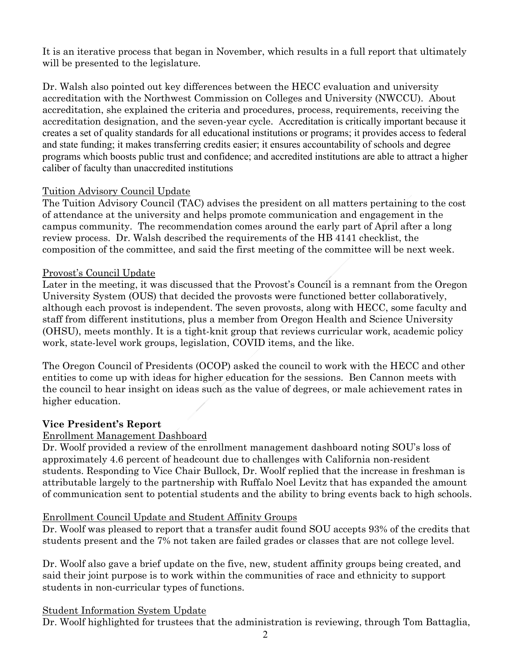It is an iterative process that began in November, which results in a full report that ultimately will be presented to the legislature.

Dr. Walsh also pointed out key differences between the HECC evaluation and university accreditation with the Northwest Commission on Colleges and University (NWCCU). About accreditation, she explained the criteria and procedures, process, requirements, receiving the accreditation designation, and the seven-year cycle. Accreditation is critically important because it creates a set of quality standards for all educational institutions or programs; it provides access to federal and state funding; it makes transferring credits easier; it ensures accountability of schools and degree programs which boosts public trust and confidence; and accredited institutions are able to attract a higher caliber of faculty than unaccredited institutions

# Tuition Advisory Council Update

The Tuition Advisory Council (TAC) advises the president on all matters pertaining to the cost of attendance at the university and helps promote communication and engagement in the campus community. The recommendation comes around the early part of April after a long review process. Dr. Walsh described the requirements of the HB 4141 checklist, the composition of the committee, and said the first meeting of the committee will be next week.

# Provost's Council Update

Later in the meeting, it was discussed that the Provost's Council is a remnant from the Oregon University System (OUS) that decided the provosts were functioned better collaboratively, although each provost is independent. The seven provosts, along with HECC, some faculty and staff from different institutions, plus a member from Oregon Health and Science University (OHSU), meets monthly. It is a tight-knit group that reviews curricular work, academic policy work, state-level work groups, legislation, COVID items, and the like.

The Oregon Council of Presidents (OCOP) asked the council to work with the HECC and other entities to come up with ideas for higher education for the sessions. Ben Cannon meets with the council to hear insight on ideas such as the value of degrees, or male achievement rates in higher education.

# **Vice President's Report**

# Enrollment Management Dashboard

Dr. Woolf provided a review of the enrollment management dashboard noting SOU's loss of approximately 4.6 percent of headcount due to challenges with California non-resident students. Responding to Vice Chair Bullock, Dr. Woolf replied that the increase in freshman is attributable largely to the partnership with Ruffalo Noel Levitz that has expanded the amount of communication sent to potential students and the ability to bring events back to high schools.

## Enrollment Council Update and Student Affinity Groups

Dr. Woolf was pleased to report that a transfer audit found SOU accepts 93% of the credits that students present and the 7% not taken are failed grades or classes that are not college level.

Dr. Woolf also gave a brief update on the five, new, student affinity groups being created, and said their joint purpose is to work within the communities of race and ethnicity to support students in non-curricular types of functions.

## Student Information System Update

Dr. Woolf highlighted for trustees that the administration is reviewing, through Tom Battaglia,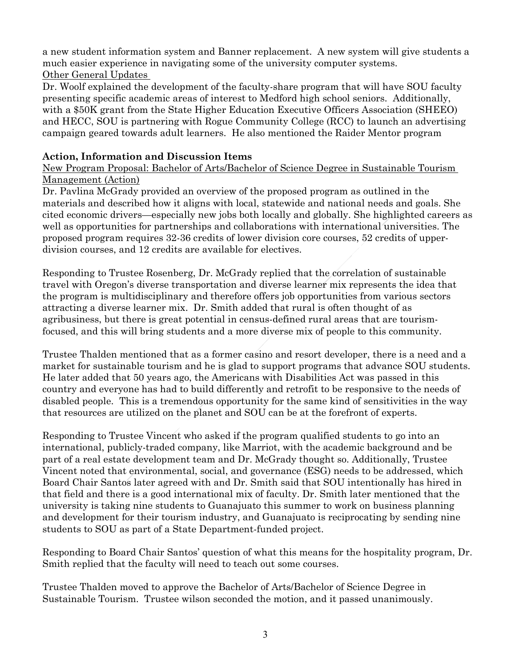a new student information system and Banner replacement. A new system will give students a much easier experience in navigating some of the university computer systems. Other General Updates

Dr. Woolf explained the development of the faculty-share program that will have SOU faculty presenting specific academic areas of interest to Medford high school seniors. Additionally, with a \$50K grant from the State Higher Education Executive Officers Association (SHEEO) and HECC, SOU is partnering with Rogue Community College (RCC) to launch an advertising campaign geared towards adult learners. He also mentioned the Raider Mentor program

### **Action, Information and Discussion Items**

New Program Proposal: Bachelor of Arts/Bachelor of Science Degree in Sustainable Tourism Management (Action)

Dr. Pavlina McGrady provided an overview of the proposed program as outlined in the materials and described how it aligns with local, statewide and national needs and goals. She cited economic drivers—especially new jobs both locally and globally. She highlighted careers as well as opportunities for partnerships and collaborations with international universities. The proposed program requires 32-36 credits of lower division core courses, 52 credits of upperdivision courses, and 12 credits are available for electives.

Responding to Trustee Rosenberg, Dr. McGrady replied that the correlation of sustainable travel with Oregon's diverse transportation and diverse learner mix represents the idea that the program is multidisciplinary and therefore offers job opportunities from various sectors attracting a diverse learner mix. Dr. Smith added that rural is often thought of as agribusiness, but there is great potential in census-defined rural areas that are tourismfocused, and this will bring students and a more diverse mix of people to this community.

Trustee Thalden mentioned that as a former casino and resort developer, there is a need and a market for sustainable tourism and he is glad to support programs that advance SOU students. He later added that 50 years ago, the Americans with Disabilities Act was passed in this country and everyone has had to build differently and retrofit to be responsive to the needs of disabled people. This is a tremendous opportunity for the same kind of sensitivities in the way that resources are utilized on the planet and SOU can be at the forefront of experts.

Responding to Trustee Vincent who asked if the program qualified students to go into an international, publicly-traded company, like Marriot, with the academic background and be part of a real estate development team and Dr. McGrady thought so. Additionally, Trustee Vincent noted that environmental, social, and governance (ESG) needs to be addressed, which Board Chair Santos later agreed with and Dr. Smith said that SOU intentionally has hired in that field and there is a good international mix of faculty. Dr. Smith later mentioned that the university is taking nine students to Guanajuato this summer to work on business planning and development for their tourism industry, and Guanajuato is reciprocating by sending nine students to SOU as part of a State Department-funded project.

Responding to Board Chair Santos' question of what this means for the hospitality program, Dr. Smith replied that the faculty will need to teach out some courses.

Trustee Thalden moved to approve the Bachelor of Arts/Bachelor of Science Degree in Sustainable Tourism. Trustee wilson seconded the motion, and it passed unanimously.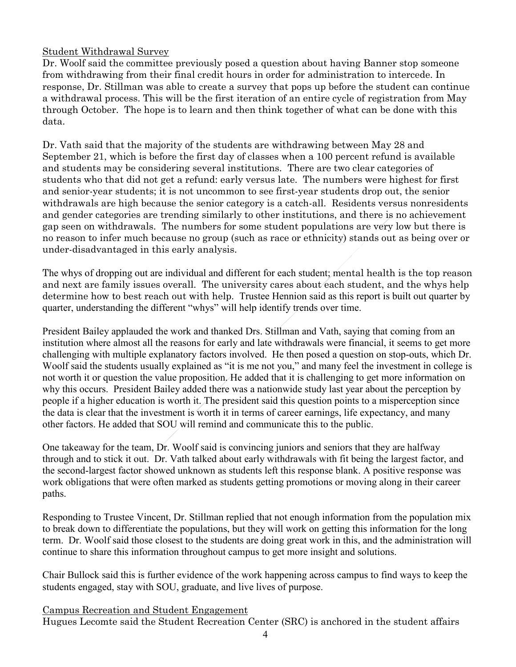# Student Withdrawal Survey

Dr. Woolf said the committee previously posed a question about having Banner stop someone from withdrawing from their final credit hours in order for administration to intercede. In response, Dr. Stillman was able to create a survey that pops up before the student can continue a withdrawal process. This will be the first iteration of an entire cycle of registration from May through October. The hope is to learn and then think together of what can be done with this data.

Dr. Vath said that the majority of the students are withdrawing between May 28 and September 21, which is before the first day of classes when a 100 percent refund is available and students may be considering several institutions. There are two clear categories of students who that did not get a refund: early versus late. The numbers were highest for first and senior-year students; it is not uncommon to see first-year students drop out, the senior withdrawals are high because the senior category is a catch-all. Residents versus nonresidents and gender categories are trending similarly to other institutions, and there is no achievement gap seen on withdrawals. The numbers for some student populations are very low but there is no reason to infer much because no group (such as race or ethnicity) stands out as being over or under-disadvantaged in this early analysis.

The whys of dropping out are individual and different for each student; mental health is the top reason and next are family issues overall. The university cares about each student, and the whys help determine how to best reach out with help. Trustee Hennion said as this report is built out quarter by quarter, understanding the different "whys" will help identify trends over time.

President Bailey applauded the work and thanked Drs. Stillman and Vath, saying that coming from an institution where almost all the reasons for early and late withdrawals were financial, it seems to get more challenging with multiple explanatory factors involved. He then posed a question on stop-outs, which Dr. Woolf said the students usually explained as "it is me not you," and many feel the investment in college is not worth it or question the value proposition. He added that it is challenging to get more information on why this occurs. President Bailey added there was a nationwide study last year about the perception by people if a higher education is worth it. The president said this question points to a misperception since the data is clear that the investment is worth it in terms of career earnings, life expectancy, and many other factors. He added that SOU will remind and communicate this to the public.

One takeaway for the team, Dr. Woolf said is convincing juniors and seniors that they are halfway through and to stick it out. Dr. Vath talked about early withdrawals with fit being the largest factor, and the second-largest factor showed unknown as students left this response blank. A positive response was work obligations that were often marked as students getting promotions or moving along in their career paths.

Responding to Trustee Vincent, Dr. Stillman replied that not enough information from the population mix to break down to differentiate the populations, but they will work on getting this information for the long term. Dr. Woolf said those closest to the students are doing great work in this, and the administration will continue to share this information throughout campus to get more insight and solutions.

Chair Bullock said this is further evidence of the work happening across campus to find ways to keep the students engaged, stay with SOU, graduate, and live lives of purpose.

Campus Recreation and Student Engagement

Hugues Lecomte said the Student Recreation Center (SRC) is anchored in the student affairs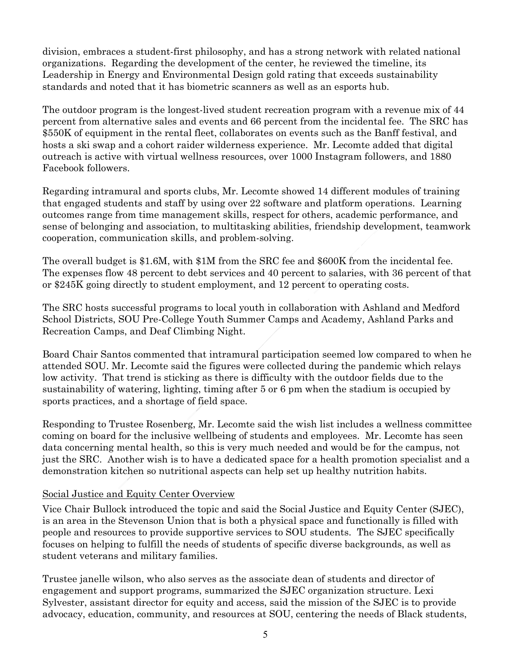division, embraces a student-first philosophy, and has a strong network with related national organizations. Regarding the development of the center, he reviewed the timeline, its Leadership in Energy and Environmental Design gold rating that exceeds sustainability standards and noted that it has biometric scanners as well as an esports hub.

The outdoor program is the longest-lived student recreation program with a revenue mix of 44 percent from alternative sales and events and 66 percent from the incidental fee. The SRC has \$550K of equipment in the rental fleet, collaborates on events such as the Banff festival, and hosts a ski swap and a cohort raider wilderness experience. Mr. Lecomte added that digital outreach is active with virtual wellness resources, over 1000 Instagram followers, and 1880 Facebook followers.

Regarding intramural and sports clubs, Mr. Lecomte showed 14 different modules of training that engaged students and staff by using over 22 software and platform operations. Learning outcomes range from time management skills, respect for others, academic performance, and sense of belonging and association, to multitasking abilities, friendship development, teamwork cooperation, communication skills, and problem-solving.

The overall budget is \$1.6M, with \$1M from the SRC fee and \$600K from the incidental fee. The expenses flow 48 percent to debt services and 40 percent to salaries, with 36 percent of that or \$245K going directly to student employment, and 12 percent to operating costs.

The SRC hosts successful programs to local youth in collaboration with Ashland and Medford School Districts, SOU Pre-College Youth Summer Camps and Academy, Ashland Parks and Recreation Camps, and Deaf Climbing Night.

Board Chair Santos commented that intramural participation seemed low compared to when he attended SOU. Mr. Lecomte said the figures were collected during the pandemic which relays low activity. That trend is sticking as there is difficulty with the outdoor fields due to the sustainability of watering, lighting, timing after 5 or 6 pm when the stadium is occupied by sports practices, and a shortage of field space.

Responding to Trustee Rosenberg, Mr. Lecomte said the wish list includes a wellness committee coming on board for the inclusive wellbeing of students and employees. Mr. Lecomte has seen data concerning mental health, so this is very much needed and would be for the campus, not just the SRC. Another wish is to have a dedicated space for a health promotion specialist and a demonstration kitchen so nutritional aspects can help set up healthy nutrition habits.

## Social Justice and Equity Center Overview

Vice Chair Bullock introduced the topic and said the Social Justice and Equity Center (SJEC), is an area in the Stevenson Union that is both a physical space and functionally is filled with people and resources to provide supportive services to SOU students. The SJEC specifically focuses on helping to fulfill the needs of students of specific diverse backgrounds, as well as student veterans and military families.

Trustee janelle wilson, who also serves as the associate dean of students and director of engagement and support programs, summarized the SJEC organization structure. Lexi Sylvester, assistant director for equity and access, said the mission of the SJEC is to provide advocacy, education, community, and resources at SOU, centering the needs of Black students,